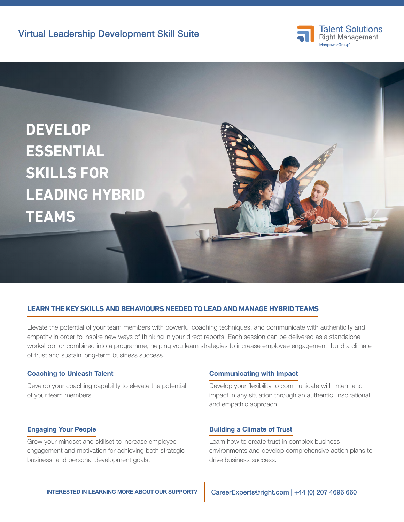



# **LEARN THE KEY SKILLS AND BEHAVIOURS NEEDED TO LEAD AND MANAGE HYBRID TEAMS**

Elevate the potential of your team members with powerful coaching techniques, and communicate with authenticity and empathy in order to inspire new ways of thinking in your direct reports. Each session can be delivered as a standalone workshop, or combined into a programme, helping you learn strategies to increase employee engagement, build a climate of trust and sustain long-term business success.

## Coaching to Unleash Talent

Develop your coaching capability to elevate the potential of your team members.

## Engaging Your People

Grow your mindset and skillset to increase employee engagement and motivation for achieving both strategic business, and personal development goals.

## Communicating with Impact

Develop your flexibility to communicate with intent and impact in any situation through an authentic, inspirational and empathic approach.

## Building a Climate of Trust

Learn how to create trust in complex business environments and develop comprehensive action plans to drive business success.